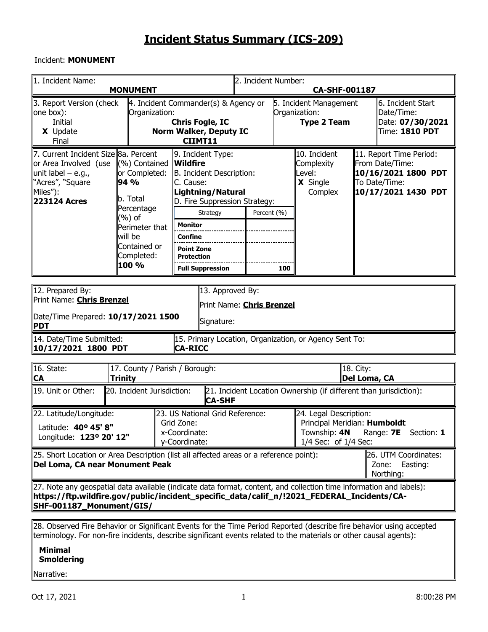### Incident: **MONUMENT**

| 1. Incident Name:                                                                                                                                                                                                                                 | <b>MONUMENT</b>                                                                                                                                     |                                                                                                                                                                                                                                                   | 2. Incident Number:<br>CA-SHF-001187                           |     |                                                                   |                                                                                                           |                                                                       |  |  |  |  |
|---------------------------------------------------------------------------------------------------------------------------------------------------------------------------------------------------------------------------------------------------|-----------------------------------------------------------------------------------------------------------------------------------------------------|---------------------------------------------------------------------------------------------------------------------------------------------------------------------------------------------------------------------------------------------------|----------------------------------------------------------------|-----|-------------------------------------------------------------------|-----------------------------------------------------------------------------------------------------------|-----------------------------------------------------------------------|--|--|--|--|
| 3. Report Version (check<br>one box):<br><b>Initial</b><br>X Update<br>Final                                                                                                                                                                      | Organization:                                                                                                                                       | $\ $ 4. Incident Commander(s) & Agency or<br><b>Chris Fogle, IC</b><br><b>Norm Walker, Deputy IC</b><br>CIIMT11                                                                                                                                   |                                                                |     | 5. Incident Management<br>Organization:<br><b>Type 2 Team</b>     |                                                                                                           | 6. Incident Start<br>Date/Time:<br>Date: 07/30/2021<br>Time: 1810 PDT |  |  |  |  |
| 7. Current Incident Size Ba. Percent<br>or Area Involved (use<br>unit label – e.g.,<br>"Acres", "Square"<br>∥Miles"):<br>223124 Acres                                                                                                             | $(\%)$ Contained<br>or Completed:<br>94 %<br>lb. Total<br>Percentage<br>(%) of<br>Perimeter that<br>lwill be<br>Contained or<br>Completed:<br>100 % | 9. Incident Type:<br><b>Wildfire</b><br>B. Incident Description:<br>C. Cause:<br>Lightning/Natural<br>D. Fire Suppression Strategy:<br>Strategy<br><b>Monitor</b><br>Confine<br><b>Point Zone</b><br><b>Protection</b><br><b>Full Suppression</b> | Percent (%)                                                    | 100 | 10. Incident<br>Complexity<br>Level:<br>X Single<br>Complex       | 11. Report Time Period:<br>From Date/Time:<br>10/16/2021 1800 PDT<br>To Date/Time:<br>10/17/2021 1430 PDT |                                                                       |  |  |  |  |
| 12. Prepared By:<br><b>PDT</b>                                                                                                                                                                                                                    | 13. Approved By:<br>Print Name: <b>Chris Brenzel</b><br>Print Name: Chris Brenzel<br>Date/Time Prepared: 10/17/2021 1500<br>Signature:              |                                                                                                                                                                                                                                                   |                                                                |     |                                                                   |                                                                                                           |                                                                       |  |  |  |  |
| 14. Date/Time Submitted:<br>10/17/2021 1800 PDT                                                                                                                                                                                                   |                                                                                                                                                     | 15. Primary Location, Organization, or Agency Sent To:<br>CA-RICC                                                                                                                                                                                 |                                                                |     |                                                                   |                                                                                                           |                                                                       |  |  |  |  |
| 16. State:<br>∥CA                                                                                                                                                                                                                                 | 17. County / Parish / Borough:<br><b>Trinity</b>                                                                                                    |                                                                                                                                                                                                                                                   |                                                                |     |                                                                   | 18. City:                                                                                                 | Del Loma, CA                                                          |  |  |  |  |
| 19. Unit or Other:                                                                                                                                                                                                                                | 20. Incident Jurisdiction:                                                                                                                          | ∣CA-SHF                                                                                                                                                                                                                                           |                                                                |     | 21. Incident Location Ownership (if different than jurisdiction): |                                                                                                           |                                                                       |  |  |  |  |
| 22. Latitude/Longitude:<br>Latitude: 40° 45' 8"<br>Longitude: 123º 20' 12"                                                                                                                                                                        |                                                                                                                                                     | 23. US National Grid Reference:<br>Grid Zone:<br>x-Coordinate:<br>y-Coordinate:                                                                                                                                                                   | 24. Legal Description:<br>Township: 4N<br>1/4 Sec: of 1/4 Sec: |     |                                                                   | Principal Meridian: Humboldt<br>Range: <b>7E</b> Section: 1                                               |                                                                       |  |  |  |  |
| [25. Short Location or Area Description (list all affected areas or a reference point):<br>26. UTM Coordinates:<br>Del Loma, CA near Monument Peak<br>Zone:<br>Easting:<br>Northing:                                                              |                                                                                                                                                     |                                                                                                                                                                                                                                                   |                                                                |     |                                                                   |                                                                                                           |                                                                       |  |  |  |  |
| [27. Note any geospatial data available (indicate data format, content, and collection time information and labels):<br>https://ftp.wildfire.gov/public/incident_specific_data/calif_n/!2021_FEDERAL_Incidents/CA- <br>  SHF-001187_Monument/GIS/ |                                                                                                                                                     |                                                                                                                                                                                                                                                   |                                                                |     |                                                                   |                                                                                                           |                                                                       |  |  |  |  |
| 28. Observed Fire Behavior or Significant Events for the Time Period Reported (describe fire behavior using accepted                                                                                                                              |                                                                                                                                                     |                                                                                                                                                                                                                                                   |                                                                |     |                                                                   |                                                                                                           |                                                                       |  |  |  |  |

terminology. For non-fire incidents, describe significant events related to the materials or other causal agents):

### **Minimal Smoldering**

### Narrative: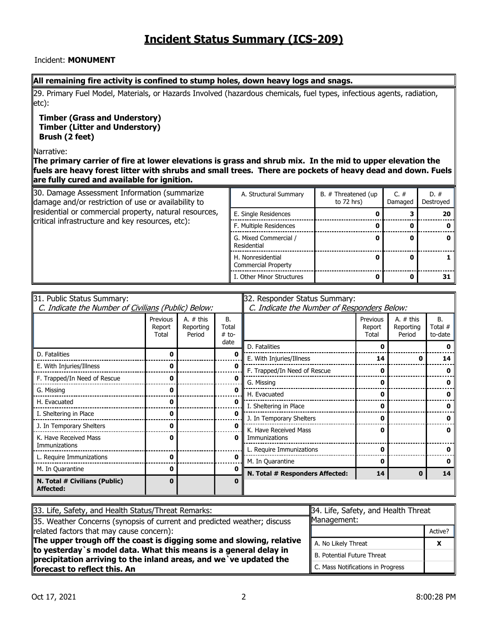#### Incident: **MONUMENT**

#### **All remaining fire activity is confined to stump holes, down heavy logs and snags.**

29. Primary Fuel Model, Materials, or Hazards Involved (hazardous chemicals, fuel types, infectious agents, radiation, etc):

**Timber (Grass and Understory) Timber (Litter and Understory) Brush (2 feet)**

#### Narrative:

**The primary carrier of fire at lower elevations is grass and shrub mix. In the mid to upper elevation the fuels are heavy forest litter with shrubs and small trees. There are pockets of heavy dead and down. Fuels are fully cured and available for ignition.**

| 30. Damage Assessment Information (summarize<br>damage and/or restriction of use or availability to | A. Structural Summary                           | B. # Threatened (up<br>to $72$ hrs) | C. $#$<br>Damaged | $D. \#$<br>Destroyed |
|-----------------------------------------------------------------------------------------------------|-------------------------------------------------|-------------------------------------|-------------------|----------------------|
| residential or commercial property, natural resources,                                              | E. Single Residences                            |                                     |                   | 20                   |
| critical infrastructure and key resources, etc):                                                    | F. Multiple Residences                          |                                     |                   | 0                    |
|                                                                                                     | G. Mixed Commercial /<br>Residential            |                                     |                   | 0                    |
|                                                                                                     | H. Nonresidential<br><b>Commercial Property</b> |                                     |                   |                      |
|                                                                                                     | I. Other Minor Structures                       |                                     |                   | 31                   |

| 31. Public Status Summary:                          |                             |                                    | 32. Responder Status Summary:               |                                 |                             |                                    |                                   |  |  |
|-----------------------------------------------------|-----------------------------|------------------------------------|---------------------------------------------|---------------------------------|-----------------------------|------------------------------------|-----------------------------------|--|--|
| C. Indicate the Number of Civilians (Public) Below: |                             |                                    | C. Indicate the Number of Responders Below: |                                 |                             |                                    |                                   |  |  |
|                                                     | Previous<br>Report<br>Total | A. $#$ this<br>Reporting<br>Period | <b>B.</b><br>Total<br>$#$ to-               |                                 | Previous<br>Report<br>Total | A. $#$ this<br>Reporting<br>Period | <b>B.</b><br>Total $#$<br>to-date |  |  |
|                                                     |                             |                                    | date                                        | D. Fatalities                   | ŋ                           |                                    |                                   |  |  |
| D. Fatalities                                       | 0                           |                                    | Ω                                           | E. With Injuries/Illness        | 14                          |                                    | 14                                |  |  |
| E. With Injuries/Illness                            |                             |                                    |                                             | F. Trapped/In Need of Rescue    | 0                           |                                    |                                   |  |  |
| F. Trapped/In Need of Rescue                        | 0                           |                                    | O                                           | G. Missing                      | 0                           |                                    |                                   |  |  |
| G. Missing                                          | O                           |                                    |                                             | H. Evacuated                    | 0                           |                                    |                                   |  |  |
| H. Evacuated                                        | O                           |                                    | Ω                                           | I. Sheltering in Place          | ŋ                           |                                    |                                   |  |  |
| I. Sheltering in Place                              | o                           |                                    | o                                           | J. In Temporary Shelters        | 0                           |                                    |                                   |  |  |
| J. In Temporary Shelters                            |                             |                                    | ŋ                                           | K. Have Received Mass           | 0                           |                                    | n                                 |  |  |
| K. Have Received Mass<br>0                          |                             | 0                                  | Immunizations                               |                                 |                             |                                    |                                   |  |  |
| Immunizations                                       |                             |                                    |                                             | L. Require Immunizations        | 0                           |                                    |                                   |  |  |
| L. Require Immunizations                            | 0                           |                                    | Ω                                           | M. In Quarantine                | 0                           |                                    |                                   |  |  |
| M. In Quarantine                                    | 0                           |                                    |                                             | N. Total # Responders Affected: | 14                          |                                    | 14                                |  |  |
| N. Total # Civilians (Public)<br>Affected:          | $\bf{0}$                    |                                    | 0                                           |                                 |                             |                                    |                                   |  |  |

| 33. Life, Safety, and Health Status/Threat Remarks:                                                                                    | 34. Life, Safety, and Health Threat<br>Management: |         |  |  |
|----------------------------------------------------------------------------------------------------------------------------------------|----------------------------------------------------|---------|--|--|
| 35. Weather Concerns (synopsis of current and predicted weather; discuss                                                               |                                                    |         |  |  |
| related factors that may cause concern):                                                                                               |                                                    | Active? |  |  |
| The upper trough off the coast is digging some and slowing, relative                                                                   | A. No Likely Threat                                |         |  |  |
| to yesterday `s model data. What this means is a general delay in<br>precipitation arriving to the inland areas, and we ve updated the | <b>B. Potential Future Threat</b>                  |         |  |  |
| forecast to reflect this. An                                                                                                           | C. Mass Notifications in Progress                  |         |  |  |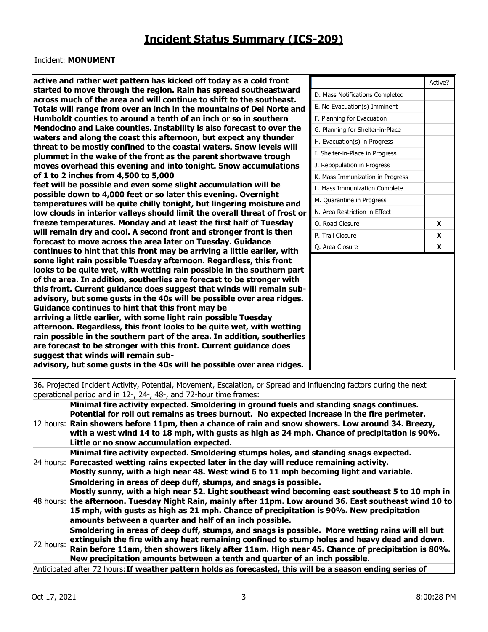### Incident: **MONUMENT**

| active and rather wet pattern has kicked off today as a cold front                                                                             |                                  | Active?      |
|------------------------------------------------------------------------------------------------------------------------------------------------|----------------------------------|--------------|
| started to move through the region. Rain has spread southeastward<br>across much of the area and will continue to shift to the southeast.      | D. Mass Notifications Completed  |              |
| Totals will range from over an inch in the mountains of Del Norte and                                                                          | E. No Evacuation(s) Imminent     |              |
| Humboldt counties to around a tenth of an inch or so in southern                                                                               | F. Planning for Evacuation       |              |
| Mendocino and Lake counties. Instability is also forecast to over the                                                                          | G. Planning for Shelter-in-Place |              |
| waters and along the coast this afternoon, but expect any thunder                                                                              | H. Evacuation(s) in Progress     |              |
| threat to be mostly confined to the coastal waters. Snow levels will                                                                           | I. Shelter-in-Place in Progress  |              |
| plummet in the wake of the front as the parent shortwave trough                                                                                | J. Repopulation in Progress      |              |
| moves overhead this evening and into tonight. Snow accumulations<br>of 1 to 2 inches from 4,500 to 5,000                                       |                                  |              |
| feet will be possible and even some slight accumulation will be                                                                                | K. Mass Immunization in Progress |              |
| possible down to 4,000 feet or so later this evening. Overnight                                                                                | L. Mass Immunization Complete    |              |
| temperatures will be quite chilly tonight, but lingering moisture and                                                                          | M. Quarantine in Progress        |              |
| low clouds in interior valleys should limit the overall threat of frost or                                                                     | N. Area Restriction in Effect    |              |
| freeze temperatures. Monday and at least the first half of Tuesday                                                                             | O. Road Closure                  | $\mathbf{x}$ |
| will remain dry and cool. A second front and stronger front is then                                                                            | P. Trail Closure                 | X            |
| forecast to move across the area later on Tuesday. Guidance                                                                                    | Q. Area Closure                  | $\mathbf{x}$ |
| continues to hint that this front may be arriving a little earlier, with<br>some light rain possible Tuesday afternoon. Regardless, this front |                                  |              |
| looks to be quite wet, with wetting rain possible in the southern part                                                                         |                                  |              |
| of the area. In addition, southerlies are forecast to be stronger with                                                                         |                                  |              |
| this front. Current guidance does suggest that winds will remain sub-                                                                          |                                  |              |
| advisory, but some gusts in the 40s will be possible over area ridges.                                                                         |                                  |              |
| Guidance continues to hint that this front may be                                                                                              |                                  |              |
| arriving a little earlier, with some light rain possible Tuesday                                                                               |                                  |              |
| afternoon. Regardless, this front looks to be quite wet, with wetting                                                                          |                                  |              |
| rain possible in the southern part of the area. In addition, southerlies                                                                       |                                  |              |
| are forecast to be stronger with this front. Current guidance does                                                                             |                                  |              |
| suggest that winds will remain sub-                                                                                                            |                                  |              |
| advisory, but some gusts in the 40s will be possible over area ridges.                                                                         |                                  |              |
| 36. Projected Incident Activity, Potential, Movement, Escalation, or Spread and influencing factors during the next                            |                                  |              |
|                                                                                                                                                |                                  |              |

operational period and in 12-, 24-, 48-, and 72-hour time frames: 12 hours: **Rain showers before 11pm, then a chance of rain and snow showers. Low around 34. Breezy, Minimal fire activity expected. Smoldering in ground fuels and standing snags continues. Potential for roll out remains as trees burnout. No expected increase in the fire perimeter. with a west wind 14 to 18 mph, with gusts as high as 24 mph. Chance of precipitation is 90%. Little or no snow accumulation expected.** 24 hours: Forecasted wetting rains expected later in the day will reduce remaining activity. **Minimal fire activity expected. Smoldering stumps holes, and standing snags expected. Mostly sunny, with a high near 48. West wind 6 to 11 mph becoming light and variable.** 48 hours: **the afternoon. Tuesday Night Rain, mainly after 11pm. Low around 36. East southeast wind 10 to**  Smoldering in areas of deep duff, stumps, and snags is possible. **Mostly sunny, with a high near 52. Light southeast wind becoming east southeast 5 to 10 mph in 15 mph, with gusts as high as 21 mph. Chance of precipitation is 90%. New precipitation amounts between a quarter and half of an inch possible.** 72 hours: **Smoldering in areas of deep duff, stumps, and snags is possible. More wetting rains will all but extinguish the fire with any heat remaining confined to stump holes and heavy dead and down. Rain before 11am, then showers likely after 11am. High near 45. Chance of precipitation is 80%. New precipitation amounts between a tenth and quarter of an inch possible.** Anticipated after 72 hours:**If weather pattern holds as forecasted, this will be a season ending series of**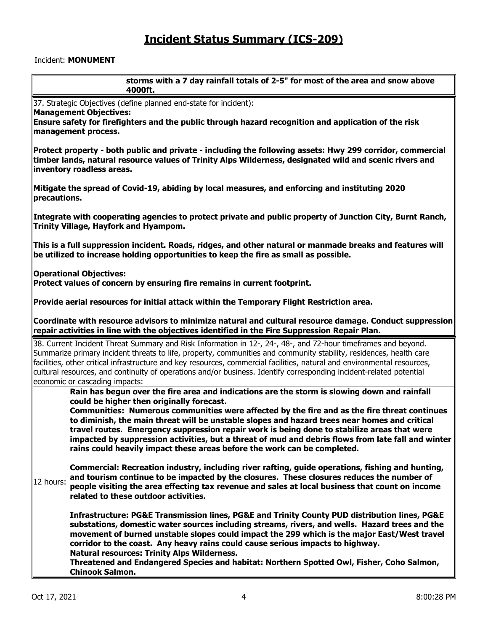### Incident: **MONUMENT**

| storms with a 7 day rainfall totals of 2-5" for most of the area and snow above<br>4000ft.                                                                                                                                                                                                                                                                                                                                                                                                                               |
|--------------------------------------------------------------------------------------------------------------------------------------------------------------------------------------------------------------------------------------------------------------------------------------------------------------------------------------------------------------------------------------------------------------------------------------------------------------------------------------------------------------------------|
| 37. Strategic Objectives (define planned end-state for incident):                                                                                                                                                                                                                                                                                                                                                                                                                                                        |
| Management Objectives:<br>Ensure safety for firefighters and the public through hazard recognition and application of the risk<br>management process.                                                                                                                                                                                                                                                                                                                                                                    |
| Protect property - both public and private - including the following assets: Hwy 299 corridor, commercial<br>timber lands, natural resource values of Trinity Alps Wilderness, designated wild and scenic rivers and<br>inventory roadless areas.                                                                                                                                                                                                                                                                        |
| Mitigate the spread of Covid-19, abiding by local measures, and enforcing and instituting 2020<br>precautions.                                                                                                                                                                                                                                                                                                                                                                                                           |
| Integrate with cooperating agencies to protect private and public property of Junction City, Burnt Ranch,<br>Trinity Village, Hayfork and Hyampom.                                                                                                                                                                                                                                                                                                                                                                       |
| $\ $ This is a full suppression incident. Roads, ridges, and other natural or manmade breaks and features will<br>be utilized to increase holding opportunities to keep the fire as small as possible.                                                                                                                                                                                                                                                                                                                   |
| <b>Operational Objectives:</b><br>Protect values of concern by ensuring fire remains in current footprint.                                                                                                                                                                                                                                                                                                                                                                                                               |
| $\,$ Provide aerial resources for initial attack within the Temporary Flight Restriction area.                                                                                                                                                                                                                                                                                                                                                                                                                           |
| Coordinate with resource advisors to minimize natural and cultural resource damage. Conduct suppression<br>$\,$ repair activities in line with the objectives identified in the Fire Suppression Repair Plan.                                                                                                                                                                                                                                                                                                            |
| 38. Current Incident Threat Summary and Risk Information in 12-, 24-, 48-, and 72-hour timeframes and beyond.<br>Summarize primary incident threats to life, property, communities and community stability, residences, health care<br>facilities, other critical infrastructure and key resources, commercial facilities, natural and environmental resources,<br>cultural resources, and continuity of operations and/or business. Identify corresponding incident-related potential<br>economic or cascading impacts: |
| Rain has begun over the fire area and indications are the storm is slowing down and rainfall<br>could be higher then originally forecast.                                                                                                                                                                                                                                                                                                                                                                                |
| Communities: Numerous communities were affected by the fire and as the fire threat continues<br>to diminish, the main threat will be unstable slopes and hazard trees near homes and critical<br>travel routes. Emergency suppression repair work is being done to stabilize areas that were<br>impacted by suppression activities, but a threat of mud and debris flows from late fall and winter<br>rains could heavily impact these areas before the work can be completed.                                           |
| Commercial: Recreation industry, including river rafting, guide operations, fishing and hunting,<br>and tourism continue to be impacted by the closures. These closures reduces the number of<br>12 hours:<br>people visiting the area effecting tax revenue and sales at local business that count on income<br>related to these outdoor activities.                                                                                                                                                                    |
| Infrastructure: PG&E Transmission lines, PG&E and Trinity County PUD distribution lines, PG&E<br>substations, domestic water sources including streams, rivers, and wells. Hazard trees and the<br>movement of burned unstable slopes could impact the 299 which is the major East/West travel<br>corridor to the coast. Any heavy rains could cause serious impacts to highway.<br><b>Natural resources: Trinity Alps Wilderness.</b>                                                                                   |
| Threatened and Endangered Species and habitat: Northern Spotted Owl, Fisher, Coho Salmon,<br><b>Chinook Salmon.</b>                                                                                                                                                                                                                                                                                                                                                                                                      |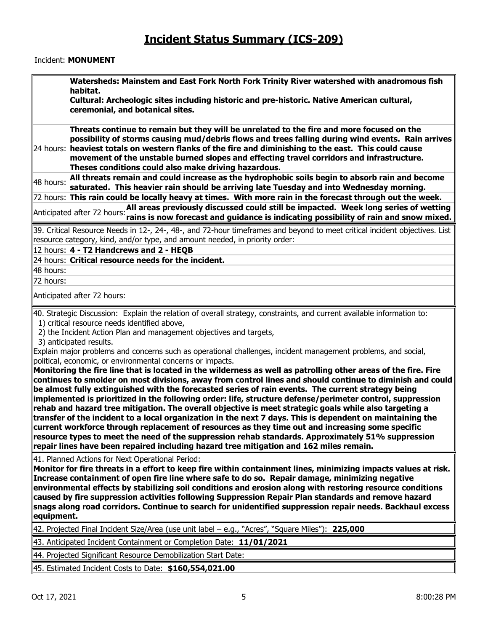#### Incident: **MONUMENT**

**Watersheds: Mainstem and East Fork North Fork Trinity River watershed with anadromous fish habitat.** 

**Cultural: Archeologic sites including historic and pre-historic. Native American cultural, ceremonial, and botanical sites.** 

24 hours: **heaviest totals on western flanks of the fire and diminishing to the east. This could cause Threats continue to remain but they will be unrelated to the fire and more focused on the possibility of storms causing mud/debris flows and trees falling during wind events. Rain arrives movement of the unstable burned slopes and effecting travel corridors and infrastructure. Theses conditions could also make driving hazardous.**

**48 hours:** All threats remain and could increase as the hydrophobic soils begin to absorb rain and become **about saturated. This heavier rain should be arriving late Tuesday and into Wednesday morning.** 

72 hours: **This rain could be locally heavy at times. With more rain in the forecast through out the week.** Anticipated after 72 hours:**All areas previously discussed could still be impacted. Week long series of wetting rains is now forecast and guidance is indicating possibility of rain and snow mixed.**

39. Critical Resource Needs in 12-, 24-, 48-, and 72-hour timeframes and beyond to meet critical incident objectives. List resource category, kind, and/or type, and amount needed, in priority order:

12 hours: **4 -T2 Handcrews and 2 -HEQB** 

24 hours: **Critical resource needs for the incident.**

48 hours: 72 hours:

Anticipated after 72 hours:

40. Strategic Discussion: Explain the relation of overall strategy, constraints, and current available information to:

1) critical resource needs identified above,

2) the Incident Action Plan and management objectives and targets,

3) anticipated results.

Explain major problems and concerns such as operational challenges, incident management problems, and social, political, economic, or environmental concerns or impacts.

**Monitoring the fire line that is located in the wilderness as well as patrolling other areas of the fire. Fire continues to smolder on most divisions, away from control lines and should continue to diminish and could be almost fully extinguished with the forecasted series of rain events. The current strategy being implemented is prioritized in the following order: life, structure defense/perimeter control, suppression rehab and hazard tree mitigation. The overall objective is meet strategic goals while also targeting a transfer of the incident to a local organization in the next 7 days. This is dependent on maintaining the current workforce through replacement of resources as they time out and increasing some specific resource types to meet the need of the suppression rehab standards. Approximately 51% suppression repair lines have been repaired including hazard tree mitigation and 162 miles remain.** 

41. Planned Actions for Next Operational Period:

**Monitor for fire threats in a effort to keep fire within containment lines, minimizing impacts values at risk. Increase containment of open fire line where safe to do so. Repair damage, minimizing negative environmental effects by stabilizing soil conditions and erosion along with restoring resource conditions caused by fire suppression activities following Suppression Repair Plan standards and remove hazard snags along road corridors. Continue to search for unidentified suppression repair needs. Backhaul excess equipment.** 

42. Projected Final Incident Size/Area (use unit label – e.g., "Acres", "Square Miles"): **225,000**

43. Anticipated Incident Containment or Completion Date: **11/01/2021**

44. Projected Significant Resource Demobilization Start Date:

45. Estimated Incident Costs to Date: **\$160,554,021.00**